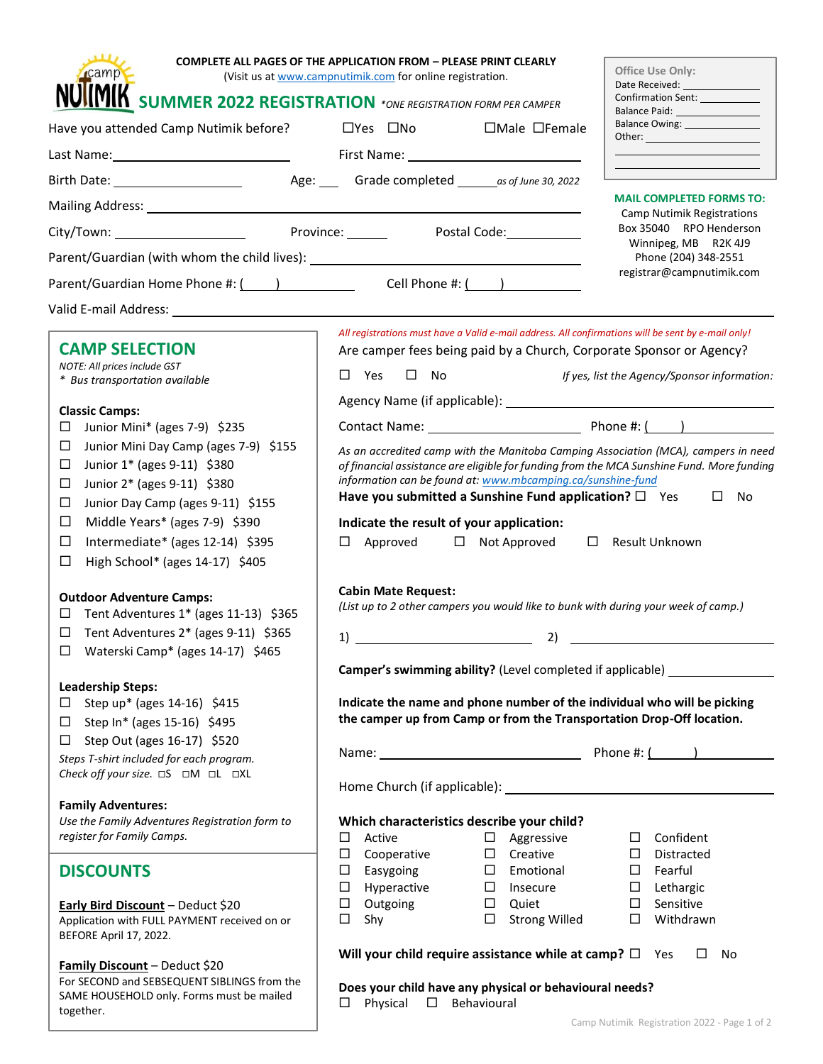| <b>cam</b>                                                                                                                                                                                                                    | <b>COMPLETE ALL PAGES OF THE APPLICATION FROM - PLEASE PRINT CLEARLY</b><br>(Visit us at www.campnutimik.com for online registration.<br><b>IIMIK</b> SUMMER 2022 REGISTRATION *ONE REGISTRATION FORM PER CAMPER | Office Use Only:<br>Date Received: ________________<br>Confirmation Sent: ___________ |
|-------------------------------------------------------------------------------------------------------------------------------------------------------------------------------------------------------------------------------|------------------------------------------------------------------------------------------------------------------------------------------------------------------------------------------------------------------|---------------------------------------------------------------------------------------|
| Have you attended Camp Nutimik before?                                                                                                                                                                                        | $\square$ Yes $\square$ No<br>$\Box$ Male $\Box$ Female                                                                                                                                                          | Balance Paid: __________________<br>Balance Owing: _______________                    |
| Last Name: 1000 and 2000 and 2000 and 2000 and 2000 and 2000 and 2000 and 2000 and 2000 and 2000 and 2000 and                                                                                                                 |                                                                                                                                                                                                                  |                                                                                       |
|                                                                                                                                                                                                                               | Age: Grade completed _____ as of June 30, 2022                                                                                                                                                                   |                                                                                       |
|                                                                                                                                                                                                                               | <u> 1989 - Johann Harry Harry Harry Harry Harry Harry Harry Harry Harry Harry Harry Harry Harry Harry Harry Harry</u>                                                                                            | <b>MAIL COMPLETED FORMS TO:</b>                                                       |
|                                                                                                                                                                                                                               | Province: Postal Code:                                                                                                                                                                                           | <b>Camp Nutimik Registrations</b><br>Box 35040 RPO Henderson                          |
| Parent/Guardian (with whom the child lives): ___________________________________                                                                                                                                              |                                                                                                                                                                                                                  | Winnipeg, MB R2K 4J9<br>Phone (204) 348-2551                                          |
| Parent/Guardian Home Phone #: ( ) Cell Phone #: ( )                                                                                                                                                                           |                                                                                                                                                                                                                  | registrar@campnutimik.com                                                             |
| Valid E-mail Address: Wallet the Second Second Second Second Second Second Second Second Second Second Second Second Second Second Second Second Second Second Second Second Second Second Second Second Second Second Second |                                                                                                                                                                                                                  |                                                                                       |
|                                                                                                                                                                                                                               |                                                                                                                                                                                                                  |                                                                                       |
| <b>CAMP SELECTION</b>                                                                                                                                                                                                         | All registrations must have a Valid e-mail address. All confirmations will be sent by e-mail only!<br>Are camper fees being paid by a Church, Corporate Sponsor or Agency?                                       |                                                                                       |
| NOTE: All prices include GST                                                                                                                                                                                                  | $\square$ Yes $\square$ No                                                                                                                                                                                       | If yes, list the Agency/Sponsor information:                                          |
| * Bus transportation available                                                                                                                                                                                                |                                                                                                                                                                                                                  |                                                                                       |
| <b>Classic Camps:</b>                                                                                                                                                                                                         |                                                                                                                                                                                                                  |                                                                                       |
| Junior Mini* (ages 7-9) \$235<br>□<br>Junior Mini Day Camp (ages 7-9) \$155<br>□                                                                                                                                              |                                                                                                                                                                                                                  |                                                                                       |
| Junior 1* (ages 9-11) \$380<br>$\Box$                                                                                                                                                                                         | As an accredited camp with the Manitoba Camping Association (MCA), campers in need<br>of financial assistance are eligible for funding from the MCA Sunshine Fund. More funding                                  |                                                                                       |
| Junior 2* (ages 9-11) \$380<br>□                                                                                                                                                                                              | information can be found at: www.mbcamping.ca/sunshine-fund                                                                                                                                                      |                                                                                       |
| Junior Day Camp (ages 9-11) \$155<br>□                                                                                                                                                                                        | Have you submitted a Sunshine Fund application? $\square$ Yes                                                                                                                                                    | $\square$ No                                                                          |
| Middle Years* (ages 7-9) \$390<br>□                                                                                                                                                                                           | Indicate the result of your application:                                                                                                                                                                         |                                                                                       |
| Intermediate* (ages 12-14) \$395<br>□                                                                                                                                                                                         | $\Box$ Approved $\Box$ Not Approved                                                                                                                                                                              | $\Box$ Result Unknown                                                                 |
| □<br>High School* (ages 14-17) \$405                                                                                                                                                                                          |                                                                                                                                                                                                                  |                                                                                       |
| <b>Outdoor Adventure Camps:</b>                                                                                                                                                                                               | <b>Cabin Mate Request:</b>                                                                                                                                                                                       |                                                                                       |
| Tent Adventures $1*$ (ages 11-13) \$365<br>□                                                                                                                                                                                  | (List up to 2 other campers you would like to bunk with during your week of camp.)                                                                                                                               |                                                                                       |
| Tent Adventures 2* (ages 9-11) \$365<br>$\Box$                                                                                                                                                                                | 1)                                                                                                                                                                                                               |                                                                                       |
| Waterski Camp* (ages 14-17) \$465<br>ப                                                                                                                                                                                        | $\overline{\phantom{a}}$ 2) $\overline{\phantom{a}}$                                                                                                                                                             |                                                                                       |
|                                                                                                                                                                                                                               | Camper's swimming ability? (Level completed if applicable) ______                                                                                                                                                |                                                                                       |
| <b>Leadership Steps:</b>                                                                                                                                                                                                      |                                                                                                                                                                                                                  |                                                                                       |
| Step up* (ages 14-16) \$415<br>$\Box$                                                                                                                                                                                         | Indicate the name and phone number of the individual who will be picking<br>the camper up from Camp or from the Transportation Drop-Off location.                                                                |                                                                                       |
| Step In* (ages 15-16) \$495<br>□<br>Step Out (ages 16-17) \$520<br>$\Box$                                                                                                                                                     |                                                                                                                                                                                                                  |                                                                                       |
| Steps T-shirt included for each program.                                                                                                                                                                                      |                                                                                                                                                                                                                  |                                                                                       |
|                                                                                                                                                                                                                               |                                                                                                                                                                                                                  |                                                                                       |
|                                                                                                                                                                                                                               |                                                                                                                                                                                                                  |                                                                                       |
| <b>Family Adventures:</b><br>Use the Family Adventures Registration form to                                                                                                                                                   | Which characteristics describe your child?                                                                                                                                                                       |                                                                                       |
| register for Family Camps.                                                                                                                                                                                                    | Active<br>$\square$ Aggressive<br>□                                                                                                                                                                              | $\Box$<br>Confident                                                                   |
|                                                                                                                                                                                                                               | $\Box$ Creative<br>$\Box$<br>Cooperative                                                                                                                                                                         | Distracted<br>$\Box$                                                                  |
| <b>DISCOUNTS</b>                                                                                                                                                                                                              | $\square$ Easygoing<br>$\square$ Emotional                                                                                                                                                                       | $\Box$<br>Fearful                                                                     |
|                                                                                                                                                                                                                               | $\Box$ Hyperactive<br>$\Box$ Insecure                                                                                                                                                                            | $\Box$ Lethargic                                                                      |
| Early Bird Discount - Deduct \$20<br>Application with FULL PAYMENT received on or                                                                                                                                             | $\Box$<br>Outgoing<br>$\Box$ Quiet<br>$\Box$<br>Shy<br>$\Box$ Strong Willed                                                                                                                                      | Sensitive<br>$\Box$<br>$\Box$<br>Withdrawn                                            |
| BEFORE April 17, 2022.                                                                                                                                                                                                        |                                                                                                                                                                                                                  |                                                                                       |
|                                                                                                                                                                                                                               | Will your child require assistance while at camp? $\square$ Yes                                                                                                                                                  | $\Box$<br>No                                                                          |
| Family Discount - Deduct \$20<br>For SECOND and SEBSEQUENT SIBLINGS from the                                                                                                                                                  |                                                                                                                                                                                                                  |                                                                                       |
| SAME HOUSEHOLD only. Forms must be mailed                                                                                                                                                                                     | Does your child have any physical or behavioural needs?<br>Physical<br>$\Box$<br>Behavioural<br>□                                                                                                                |                                                                                       |
| together.                                                                                                                                                                                                                     |                                                                                                                                                                                                                  |                                                                                       |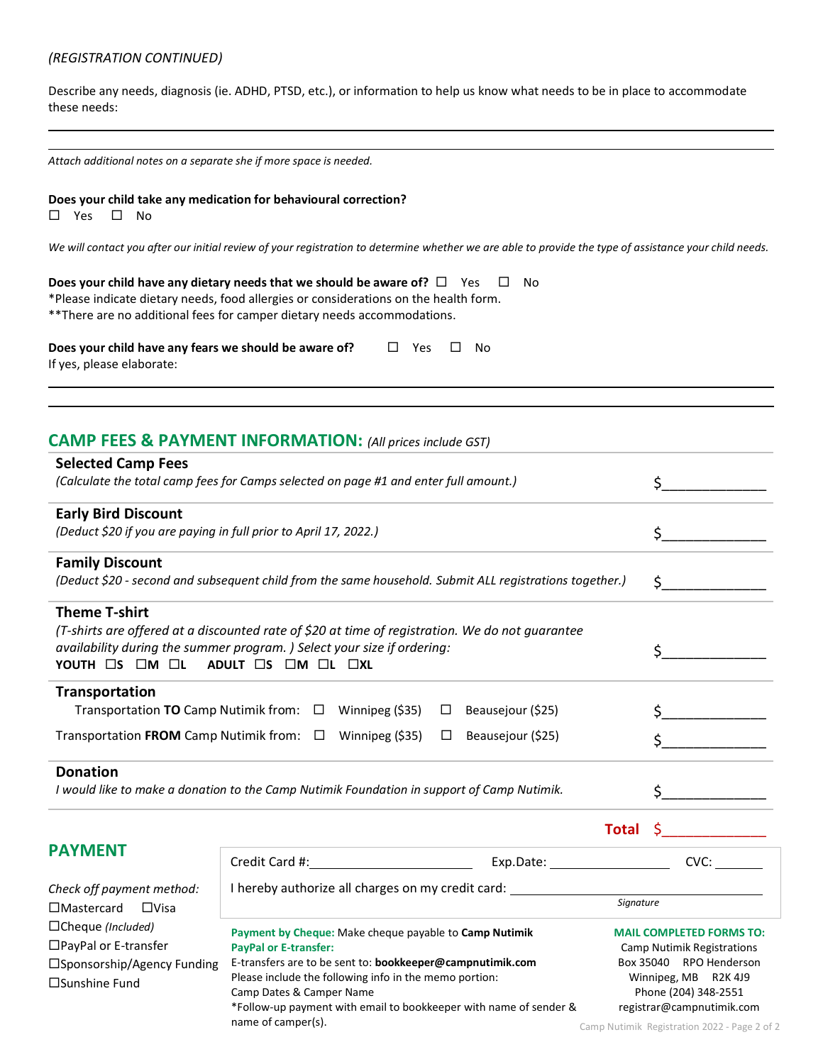# *(REGISTRATION CONTINUED)*

Describe any needs, diagnosis (ie. ADHD, PTSD, etc.), or information to help us know what needs to be in place to accommodate these needs:

| Attach additional notes on a separate she if more space is needed. |  |
|--------------------------------------------------------------------|--|
|--------------------------------------------------------------------|--|

# **Does your child take any medication for behavioural correction?**

 $\square$  Yes  $\square$  No

*We will contact you after our initial review of your registration to determine whether we are able to provide the type of assistance your child needs.* 

| Does your child have any dietary needs that we should be aware of? $\square$ Yes     | ⊟ No |
|--------------------------------------------------------------------------------------|------|
| *Please indicate dietary needs, food allergies or considerations on the health form. |      |
| **There are no additional fees for camper dietary needs accommodations.              |      |

| Does your child have any fears we should be aware of? | □ Yes □ No |  |
|-------------------------------------------------------|------------|--|
| If yes, please elaborate:                             |            |  |

# **CAMP FEES & PAYMENT INFORMATION:** *(All prices include GST)*

| <b>Selected Camp Fees</b><br>(Calculate the total camp fees for Camps selected on page #1 and enter full amount.)                                                                                                                                                                                      |  |
|--------------------------------------------------------------------------------------------------------------------------------------------------------------------------------------------------------------------------------------------------------------------------------------------------------|--|
| <b>Early Bird Discount</b>                                                                                                                                                                                                                                                                             |  |
| (Deduct \$20 if you are paying in full prior to April 17, 2022.)                                                                                                                                                                                                                                       |  |
| <b>Family Discount</b>                                                                                                                                                                                                                                                                                 |  |
| (Deduct \$20 - second and subsequent child from the same household. Submit ALL registrations together.)                                                                                                                                                                                                |  |
| <b>Theme T-shirt</b><br>(T-shirts are offered at a discounted rate of \$20 at time of registration. We do not guarantee<br>availability during the summer program. ) Select your size if ordering:<br>YOUTH $\square$ s $\square$ m $\square$ l adult $\square$ s $\square$ m $\square$ l $\square$ xl |  |
| <b>Transportation</b><br>Transportation TO Camp Nutimik from: $\Box$ Winnipeg (\$35)<br>Beausejour (\$25)<br>$\Box$                                                                                                                                                                                    |  |
| Transportation FROM Camp Nutimik from: $\Box$<br>Winnipeg (\$35)<br>Beausejour (\$25)<br>$\Box$                                                                                                                                                                                                        |  |
| <b>Donation</b><br>I would like to make a donation to the Camp Nutimik Foundation in support of Camp Nutimik.                                                                                                                                                                                          |  |
| Total                                                                                                                                                                                                                                                                                                  |  |

|  | <b>PAYMENT</b> |  |
|--|----------------|--|
|  |                |  |

|                                  | Credit Card #:                                                    | Exp.Date: | CVC:                              |                      |
|----------------------------------|-------------------------------------------------------------------|-----------|-----------------------------------|----------------------|
| Check off payment method:        | hereby authorize all charges on my credit card:                   |           |                                   |                      |
| $\Box$ Mastercard<br>$\Box$ Visa |                                                                   |           | Signature                         |                      |
| $\Box$ Cheque (Included)         | Payment by Cheque: Make cheque payable to Camp Nutimik            |           | <b>MAIL COMPLETED FORMS TO:</b>   |                      |
| $\Box$ PayPal or E-transfer      | <b>PayPal or E-transfer:</b>                                      |           | <b>Camp Nutimik Registrations</b> |                      |
| □Sponsorship/Agency Funding      | E-transfers are to be sent to: bookkeeper@campnutimik.com         |           | Box 35040                         | <b>RPO Henderson</b> |
| $\square$ Sunshine Fund          | Please include the following info in the memo portion:            |           | Winnipeg, MB                      | R2K 4J9              |
|                                  | Camp Dates & Camper Name                                          |           | Phone (204) 348-2551              |                      |
|                                  | *Follow-up payment with email to bookkeeper with name of sender & |           | registrar@campnutimik.com         |                      |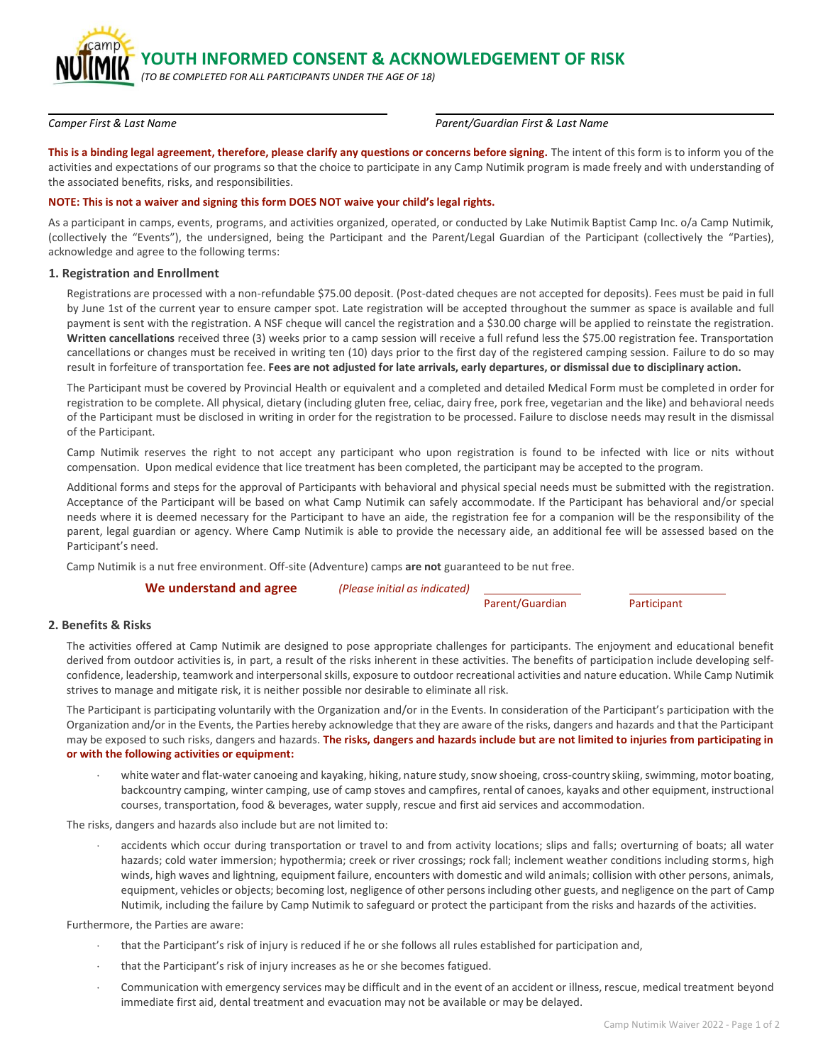**YOUTH INFORMED CONSENT & ACKNOWLEDGEMENT OF RISK** 

*(TO BE COMPLETED FOR ALL PARTICIPANTS UNDER THE AGE OF 18)*

*Camper First & Last Name Parent/Guardian First & Last Name*

This is a binding legal agreement, therefore, please clarify any questions or concerns before signing. The intent of this form is to inform you of the activities and expectations of our programs so that the choice to participate in any Camp Nutimik program is made freely and with understanding of the associated benefits, risks, and responsibilities.

#### **NOTE: This is not a waiver and signing this form DOES NOT waive your child's legal rights.**

As a participant in camps, events, programs, and activities organized, operated, or conducted by Lake Nutimik Baptist Camp Inc. o/a Camp Nutimik, (collectively the "Events"), the undersigned, being the Participant and the Parent/Legal Guardian of the Participant (collectively the "Parties), acknowledge and agree to the following terms:

#### **1. Registration and Enrollment**

Registrations are processed with a non-refundable \$75.00 deposit. (Post-dated cheques are not accepted for deposits). Fees must be paid in full by June 1st of the current year to ensure camper spot. Late registration will be accepted throughout the summer as space is available and full payment is sent with the registration. A NSF cheque will cancel the registration and a \$30.00 charge will be applied to reinstate the registration. **Written cancellations** received three (3) weeks prior to a camp session will receive a full refund less the \$75.00 registration fee. Transportation cancellations or changes must be received in writing ten (10) days prior to the first day of the registered camping session. Failure to do so may result in forfeiture of transportation fee. **Fees are not adjusted for late arrivals, early departures, or dismissal due to disciplinary action.**

The Participant must be covered by Provincial Health or equivalent and a completed and detailed Medical Form must be completed in order for registration to be complete. All physical, dietary (including gluten free, celiac, dairy free, pork free, vegetarian and the like) and behavioral needs of the Participant must be disclosed in writing in order for the registration to be processed. Failure to disclose needs may result in the dismissal of the Participant.

Camp Nutimik reserves the right to not accept any participant who upon registration is found to be infected with lice or nits without compensation. Upon medical evidence that lice treatment has been completed, the participant may be accepted to the program.

Additional forms and steps for the approval of Participants with behavioral and physical special needs must be submitted with the registration. Acceptance of the Participant will be based on what Camp Nutimik can safely accommodate. If the Participant has behavioral and/or special needs where it is deemed necessary for the Participant to have an aide, the registration fee for a companion will be the responsibility of the parent, legal guardian or agency. Where Camp Nutimik is able to provide the necessary aide, an additional fee will be assessed based on the Participant's need.

Camp Nutimik is a nut free environment. Off-site (Adventure) camps **are not** guaranteed to be nut free.

| We understand and agree | (Please initial as indicated) |                 |             |
|-------------------------|-------------------------------|-----------------|-------------|
|                         |                               | Parent/Guardian | Participant |

## **2. Benefits & Risks**

The activities offered at Camp Nutimik are designed to pose appropriate challenges for participants. The enjoyment and educational benefit derived from outdoor activities is, in part, a result of the risks inherent in these activities. The benefits of participation include developing selfconfidence, leadership, teamwork and interpersonal skills, exposure to outdoor recreational activities and nature education. While Camp Nutimik strives to manage and mitigate risk, it is neither possible nor desirable to eliminate all risk.

The Participant is participating voluntarily with the Organization and/or in the Events. In consideration of the Participant's participation with the Organization and/or in the Events, the Parties hereby acknowledge that they are aware of the risks, dangers and hazards and that the Participant may be exposed to such risks, dangers and hazards. **The risks, dangers and hazards include but are not limited to injuries from participating in or with the following activities or equipment:**

 white water and flat-water canoeing and kayaking, hiking, nature study, snow shoeing, cross-country skiing, swimming, motor boating, backcountry camping, winter camping, use of camp stoves and campfires, rental of canoes, kayaks and other equipment, instructional courses, transportation, food & beverages, water supply, rescue and first aid services and accommodation.

The risks, dangers and hazards also include but are not limited to:

 accidents which occur during transportation or travel to and from activity locations; slips and falls; overturning of boats; all water hazards; cold water immersion; hypothermia; creek or river crossings; rock fall; inclement weather conditions including storms, high winds, high waves and lightning, equipment failure, encounters with domestic and wild animals; collision with other persons, animals, equipment, vehicles or objects; becoming lost, negligence of other persons including other guests, and negligence on the part of Camp Nutimik, including the failure by Camp Nutimik to safeguard or protect the participant from the risks and hazards of the activities.

Furthermore, the Parties are aware:

- that the Participant's risk of injury is reduced if he or she follows all rules established for participation and,
- that the Participant's risk of injury increases as he or she becomes fatigued.
- Communication with emergency services may be difficult and in the event of an accident or illness, rescue, medical treatment beyond immediate first aid, dental treatment and evacuation may not be available or may be delayed.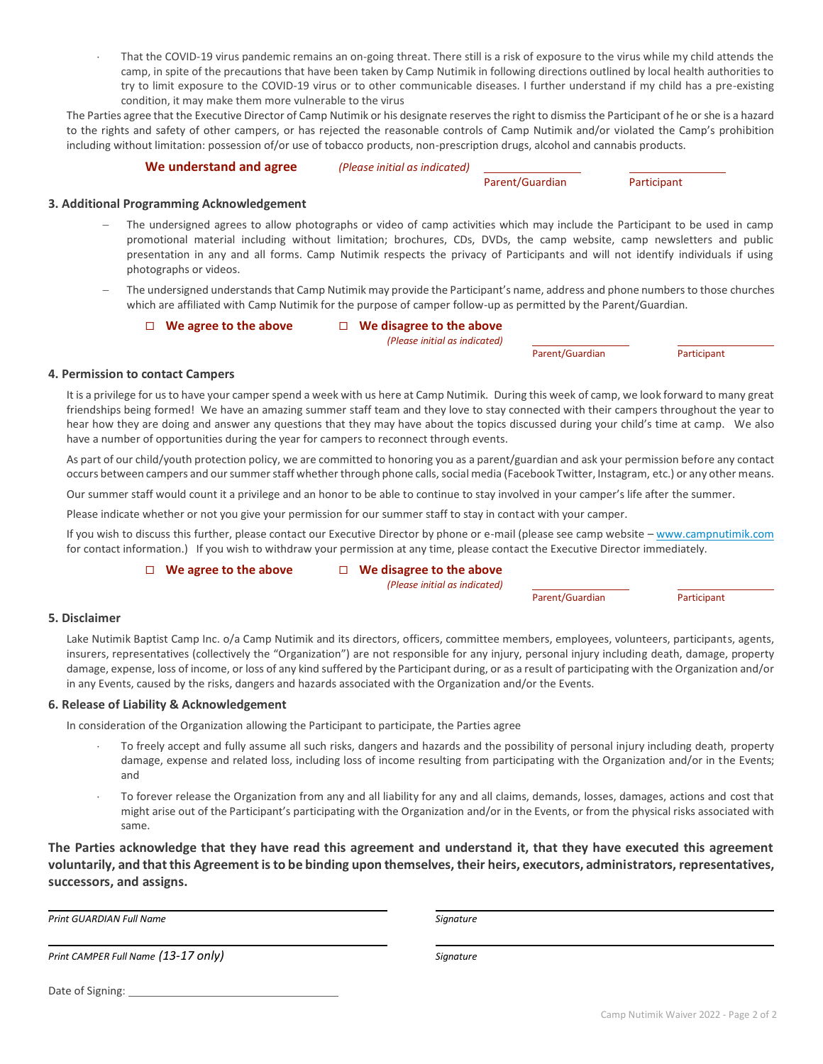That the COVID-19 virus pandemic remains an on-going threat. There still is a risk of exposure to the virus while my child attends the camp, in spite of the precautions that have been taken by Camp Nutimik in following directions outlined by local health authorities to try to limit exposure to the COVID-19 virus or to other communicable diseases. I further understand if my child has a pre-existing condition, it may make them more vulnerable to the virus

The Parties agree that the Executive Director of Camp Nutimik or his designate reserves the right to dismiss the Participant of he or she is a hazard to the rights and safety of other campers, or has rejected the reasonable controls of Camp Nutimik and/or violated the Camp's prohibition including without limitation: possession of/or use of tobacco products, non-prescription drugs, alcohol and cannabis products.

#### **We understand and agree** *(Please initial as indicated)*

Parent/Guardian Participant

## **3. Additional Programming Acknowledgement**

- The undersigned agrees to allow photographs or video of camp activities which may include the Participant to be used in camp promotional material including without limitation; brochures, CDs, DVDs, the camp website, camp newsletters and public presentation in any and all forms. Camp Nutimik respects the privacy of Participants and will not identify individuals if using photographs or videos.
- The undersigned understands that Camp Nutimik may provide the Participant's name, address and phone numbers to those churches which are affiliated with Camp Nutimik for the purpose of camper follow-up as permitted by the Parent/Guardian.

## **We agree to the above We disagree to the above**

*(Please initial as indicated)*

Parent/Guardian Participant

# **4. Permission to contact Campers**

It is a privilege for us to have your camper spend a week with us here at Camp Nutimik. During this week of camp, we look forward to many great friendships being formed! We have an amazing summer staff team and they love to stay connected with their campers throughout the year to hear how they are doing and answer any questions that they may have about the topics discussed during your child's time at camp. We also have a number of opportunities during the year for campers to reconnect through events.

As part of our child/youth protection policy, we are committed to honoring you as a parent/guardian and ask your permission before any contact occurs between campers and our summer staff whether through phone calls, social media (Facebook Twitter, Instagram, etc.) or any other means.

Our summer staff would count it a privilege and an honor to be able to continue to stay involved in your camper's life after the summer.

Please indicate whether or not you give your permission for our summer staff to stay in contact with your camper.

If you wish to discuss this further, please contact our Executive Director by phone or e-mail (please see camp website – [www.campnutimik.com](http://www.campnutimik.com/) for contact information.) If you wish to withdraw your permission at any time, please contact the Executive Director immediately.

#### **We agree to the above We disagree to the above**

*(Please initial as indicated)*

Parent/Guardian Participant

# **5. Disclaimer**

Lake Nutimik Baptist Camp Inc. o/a Camp Nutimik and its directors, officers, committee members, employees, volunteers, participants, agents, insurers, representatives (collectively the "Organization") are not responsible for any injury, personal injury including death, damage, property damage, expense, loss of income, or loss of any kind suffered by the Participant during, or as a result of participating with the Organization and/or in any Events, caused by the risks, dangers and hazards associated with the Organization and/or the Events.

# **6. Release of Liability & Acknowledgement**

In consideration of the Organization allowing the Participant to participate, the Parties agree

- To freely accept and fully assume all such risks, dangers and hazards and the possibility of personal injury including death, property damage, expense and related loss, including loss of income resulting from participating with the Organization and/or in the Events; and
- To forever release the Organization from any and all liability for any and all claims, demands, losses, damages, actions and cost that might arise out of the Participant's participating with the Organization and/or in the Events, or from the physical risks associated with same.

**The Parties acknowledge that they have read this agreement and understand it, that they have executed this agreement voluntarily, and that this Agreement is to be binding upon themselves, their heirs, executors, administrators, representatives, successors, and assigns.**

*Print GUARDIAN Full Name Signature*

*Print CAMPER Full Name (13-17 only) Signature*

Date of Signing: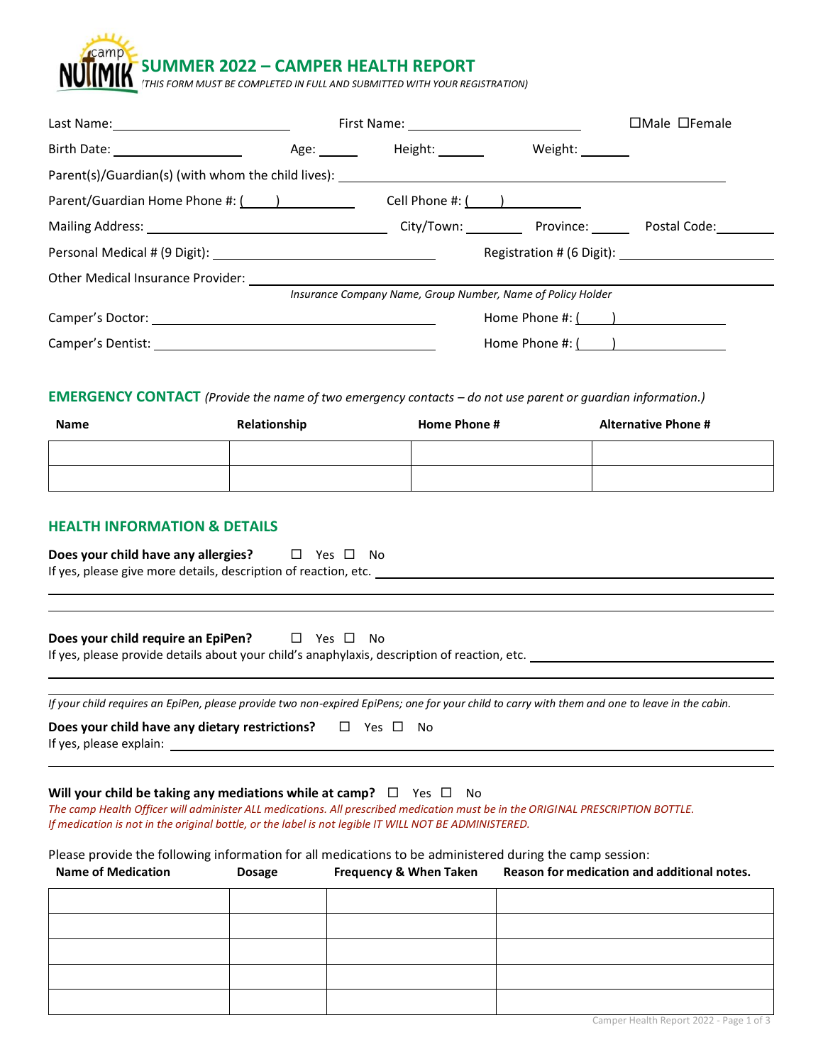**SUMMER 2022 – CAMPER HEALTH REPORT**

*(THIS FORM MUST BE COMPLETED IN FULL AND SUBMITTED WITH YOUR REGISTRATION)*

|                                      |                              |                                                             | $\Box$ Male $\Box$ Female |
|--------------------------------------|------------------------------|-------------------------------------------------------------|---------------------------|
| Birth Date: ______________________   | Age: Height: Network Height: | Weight: _______                                             |                           |
|                                      |                              |                                                             |                           |
| Parent/Guardian Home Phone #: (1997) |                              | Cell Phone #: $($ $)$                                       |                           |
|                                      |                              |                                                             |                           |
|                                      |                              |                                                             |                           |
|                                      |                              |                                                             |                           |
|                                      |                              | Insurance Company Name, Group Number, Name of Policy Holder |                           |
|                                      |                              | Home Phone #: $($ $)$                                       |                           |
|                                      |                              | Home Phone $\#:\underline{(\qquad)}$                        |                           |

**EMERGENCY CONTACT** *(Provide the name of two emergency contacts – do not use parent or guardian information.)*

| Name | Relationship | Home Phone # | <b>Alternative Phone #</b> |
|------|--------------|--------------|----------------------------|
|      |              |              |                            |
|      |              |              |                            |

# **HEALTH INFORMATION & DETAILS**

**Does your child have any allergies?**  $\Box$  Yes  $\Box$  No If yes, please give more details, description of reaction, etc.

| Does your child require an EpiPen? | $\Box$ Yes $\Box$ No                                                                         |  |
|------------------------------------|----------------------------------------------------------------------------------------------|--|
|                                    | If yes, please provide details about your child's anaphylaxis, description of reaction, etc. |  |

*If your child requires an EpiPen, please provide two non-expired EpiPens; one for your child to carry with them and one to leave in the cabin.* 

| Does your child have any dietary restrictions? |  | $\square$ Yes $\square$ | No |
|------------------------------------------------|--|-------------------------|----|
| If yes, please explain:                        |  |                         |    |

## **Will your child be taking any mediations while at camp?**  $\Box$  Yes  $\Box$  No

*The camp Health Officer will administer ALL medications. All prescribed medication must be in the ORIGINAL PRESCRIPTION BOTTLE. If medication is not in the original bottle, or the label is not legible IT WILL NOT BE ADMINISTERED.*

Please provide the following information for all medications to be administered during the camp session:

| <b>Name of Medication</b> | <b>Dosage</b> | <b>Frequency &amp; When Taken</b> | Reason for medication and additional notes. |  |  |  |  |
|---------------------------|---------------|-----------------------------------|---------------------------------------------|--|--|--|--|
|                           |               |                                   |                                             |  |  |  |  |
|                           |               |                                   |                                             |  |  |  |  |
|                           |               |                                   |                                             |  |  |  |  |
|                           |               |                                   |                                             |  |  |  |  |
|                           |               |                                   |                                             |  |  |  |  |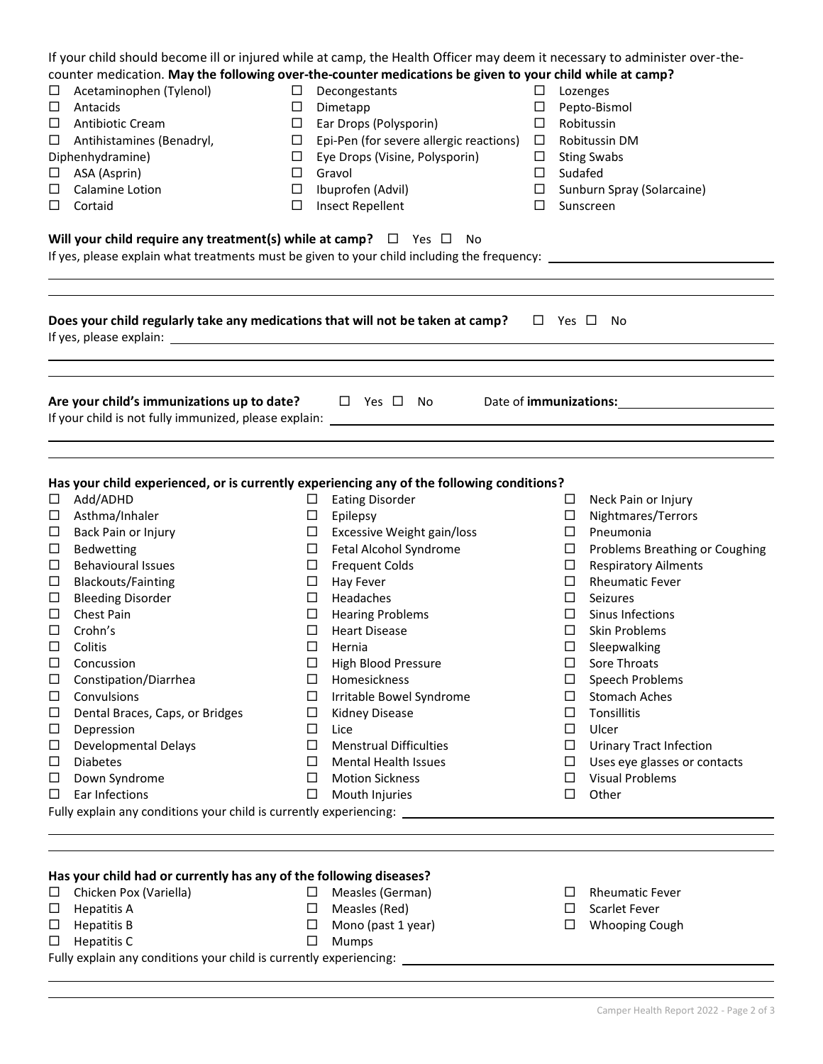|        | If your child should become ill or injured while at camp, the Health Officer may deem it necessary to administer over-the-                                                  |                  |                                          |                  |                              |                                |  |  |
|--------|-----------------------------------------------------------------------------------------------------------------------------------------------------------------------------|------------------|------------------------------------------|------------------|------------------------------|--------------------------------|--|--|
|        | counter medication. May the following over-the-counter medications be given to your child while at camp?                                                                    |                  |                                          |                  |                              |                                |  |  |
|        | Acetaminophen (Tylenol)                                                                                                                                                     |                  | Decongestants<br>$\Box$                  |                  |                              | Lozenges                       |  |  |
| ⊔      | Antacids                                                                                                                                                                    |                  | Dimetapp<br>$\Box$                       |                  |                              | Pepto-Bismol                   |  |  |
| □      | Antibiotic Cream                                                                                                                                                            | $\Box$           | Ear Drops (Polysporin)                   |                  | Robitussin                   |                                |  |  |
| □      | Antihistamines (Benadryl,                                                                                                                                                   | $\Box$           | Epi-Pen (for severe allergic reactions)  | $\Box$<br>$\Box$ |                              | Robitussin DM                  |  |  |
|        | Diphenhydramine)<br>ASA (Asprin)                                                                                                                                            |                  | Eye Drops (Visine, Polysporin)<br>Gravol |                  | <b>Sting Swabs</b><br>$\Box$ |                                |  |  |
| □      |                                                                                                                                                                             |                  |                                          |                  | Sudafed                      |                                |  |  |
| □      | Calamine Lotion                                                                                                                                                             | $\Box$<br>$\Box$ | Ibuprofen (Advil)                        | $\Box$<br>$\Box$ |                              | Sunburn Spray (Solarcaine)     |  |  |
| $\Box$ | Cortaid                                                                                                                                                                     | $\Box$           | Insect Repellent                         | $\Box$           |                              | Sunscreen                      |  |  |
|        | Will your child require any treatment(s) while at camp? $\Box$ Yes $\Box$ No<br>If yes, please explain what treatments must be given to your child including the frequency: |                  |                                          |                  |                              |                                |  |  |
|        | Does your child regularly take any medications that will not be taken at camp? $\square$ Yes $\square$ No                                                                   |                  |                                          |                  |                              |                                |  |  |
|        | Are your child's immunizations up to date? $\square$ Yes $\square$ No Bate of immunizations:                                                                                |                  |                                          |                  |                              |                                |  |  |
|        |                                                                                                                                                                             |                  |                                          |                  |                              |                                |  |  |
|        | Has your child experienced, or is currently experiencing any of the following conditions?                                                                                   |                  |                                          |                  |                              |                                |  |  |
| $\Box$ | Add/ADHD                                                                                                                                                                    |                  | $\square$ Eating Disorder                |                  |                              | $\Box$ Neck Pain or Injury     |  |  |
| $\Box$ | Asthma/Inhaler                                                                                                                                                              | $\Box$           | Epilepsy                                 |                  | $\Box$                       | Nightmares/Terrors             |  |  |
| $\Box$ | Back Pain or Injury                                                                                                                                                         | ш                | Excessive Weight gain/loss               |                  | $\Box$                       | Pneumonia                      |  |  |
| □      | Bedwetting                                                                                                                                                                  | ⊔                | Fetal Alcohol Syndrome                   |                  | $\Box$                       | Problems Breathing or Coughing |  |  |
| □      | <b>Behavioural Issues</b>                                                                                                                                                   | ш                | <b>Frequent Colds</b>                    |                  | $\Box$                       | <b>Respiratory Ailments</b>    |  |  |
| $\Box$ | <b>Blackouts/Fainting</b>                                                                                                                                                   | Ц                | Hay Fever                                |                  | $\Box$                       | <b>Rheumatic Fever</b>         |  |  |
| □      | <b>Bleeding Disorder</b>                                                                                                                                                    | ப                | Headaches                                |                  | ⊔                            | Seizures                       |  |  |
| □      | Chest Pain                                                                                                                                                                  | ⊔                | <b>Hearing Problems</b>                  |                  | ⊔                            | Sinus Infections               |  |  |
| □      | Crohn's                                                                                                                                                                     | ⊔                | <b>Heart Disease</b>                     |                  | ⊔                            | Skin Problems                  |  |  |
| □      | Colitis                                                                                                                                                                     | □                | Hernia                                   |                  | □                            | Sleepwalking                   |  |  |
| ⊔      | Concussion                                                                                                                                                                  |                  | High Blood Pressure                      |                  |                              | Sore Throats                   |  |  |
| ⊔      | Constipation/Diarrhea                                                                                                                                                       | ⊔                | Homesickness                             |                  | ப                            | Speech Problems                |  |  |
| □      | Convulsions                                                                                                                                                                 | ப                | Irritable Bowel Syndrome                 |                  | ⊔                            | <b>Stomach Aches</b>           |  |  |
| □      | Dental Braces, Caps, or Bridges                                                                                                                                             | □                | Kidney Disease                           |                  | □                            | Tonsillitis                    |  |  |
| □      | Depression                                                                                                                                                                  | □                | Lice                                     |                  | □                            | Ulcer                          |  |  |
| □      | <b>Developmental Delays</b>                                                                                                                                                 | □                | <b>Menstrual Difficulties</b>            |                  | □                            | <b>Urinary Tract Infection</b> |  |  |
| □      | <b>Diabetes</b>                                                                                                                                                             | □                | <b>Mental Health Issues</b>              |                  | ⊔                            | Uses eye glasses or contacts   |  |  |
| □      | Down Syndrome                                                                                                                                                               | ப                | <b>Motion Sickness</b>                   |                  | ⊔                            | <b>Visual Problems</b>         |  |  |
| □      | Ear Infections                                                                                                                                                              | □                | Mouth Injuries                           |                  | □                            | Other                          |  |  |
|        | Fully explain any conditions your child is currently experiencing: _________________________________                                                                        |                  |                                          |                  |                              |                                |  |  |
|        |                                                                                                                                                                             |                  |                                          |                  |                              |                                |  |  |

# **Has your child had or currently has any of the following diseases?** □ Measles (German)

 $\square$  Measles (Red)  $\Box$  Mono (past 1 year)

Mumps

- Chicken Pox (Variella)
- $\square$  Hepatitis A
- $\Box$  Hepatitis B
- $\square$  Hepatitis C

Fully explain any conditions your child is currently experiencing:

- $\Box$  Rheumatic Fever
- $\square$  Scarlet Fever
- Whooping Cough